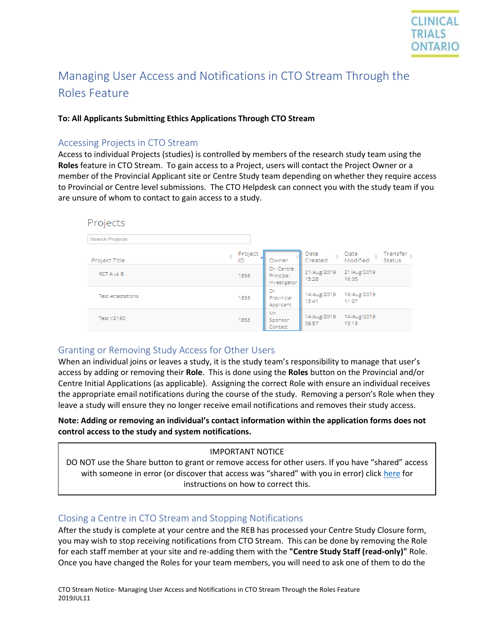

# Managing User Access and Notifications in CTO Stream Through the Roles Feature

#### **To: All Applicants Submitting Ethics Applications Through CTO Stream**

## Accessing Projects in CTO Stream

Access to individual Projects (studies) is controlled by members of the research study team using the **Roles** feature in CTO Stream. To gain access to a Project, users will contact the Project Owner or a member of the Provincial Applicant site or Centre Study team depending on whether they require access to Provincial or Centre level submissions. The CTO Helpdesk can connect you with the study team if you are unsure of whom to contact to gain access to a study.

| Projects                 |                                         |                                          |                                                                            |
|--------------------------|-----------------------------------------|------------------------------------------|----------------------------------------------------------------------------|
| <b>Search Projects</b>   |                                         |                                          |                                                                            |
| Project Title            | Project<br>$\Rightarrow$<br>Owner<br>ID | Date<br>$\frac{\triangle}{V}$<br>Created | Transfer $_{\oplus}$<br>Date<br>$\Rightarrow$<br>Modified<br><b>Status</b> |
| RCT A vs B               | Dr. Centre<br>1856<br>Principal         | 21/Aug/2019<br>15:28<br>Investigator     | 21/Aug/2019<br>16:05                                                       |
| <b>Test Attestations</b> | Dr.<br>1855<br>Provincial<br>Applicant  | 14/Aug/2019<br>13:41                     | 16/Aug/2019<br>11:07                                                       |
| <b>Test V2160</b>        | Mr.<br>1853<br>Sponsor<br>Contact       | 14/Aug/2019<br>09:57                     | 14/Aug/2019<br>13:18                                                       |

### Granting or Removing Study Access for Other Users

When an individual joins or leaves a study, it is the study team's responsibility to manage that user's access by adding or removing their **Role**. This is done using the **Roles** button on the Provincial and/or Centre Initial Applications (as applicable). Assigning the correct Role with ensure an individual receives the appropriate email notifications during the course of the study. Removing a person's Role when they leave a study will ensure they no longer receive email notifications and removes their study access.

**Note: Adding or removing an individual's contact information within the application forms does not control access to the study and system notifications.**

#### IMPORTANT NOTICE

DO NOT use the Share button to grant or remove access for other users. If you have "shared" access with someone in error (or discover that access was "shared" with you in error) click [here](https://www.ctontario.ca/cms/wp-content/uploads/2019/07/CTO-Stream-Applicant-Removing-Share-Access_V1.0.pdf) for instructions on how to correct this.

## Closing a Centre in CTO Stream and Stopping Notifications

After the study is complete at your centre and the REB has processed your Centre Study Closure form, you may wish to stop receiving notifications from CTO Stream. This can be done by removing the Role for each staff member at your site and re-adding them with the **"Centre Study Staff (read-only)"** Role. Once you have changed the Roles for your team members, you will need to ask one of them to do the